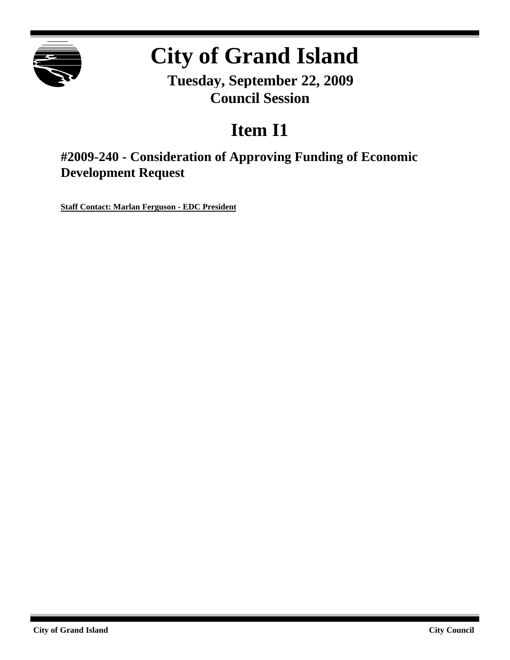

# **City of Grand Island**

**Tuesday, September 22, 2009 Council Session**

## **Item I1**

**#2009-240 - Consideration of Approving Funding of Economic Development Request**

**Staff Contact: Marlan Ferguson - EDC President**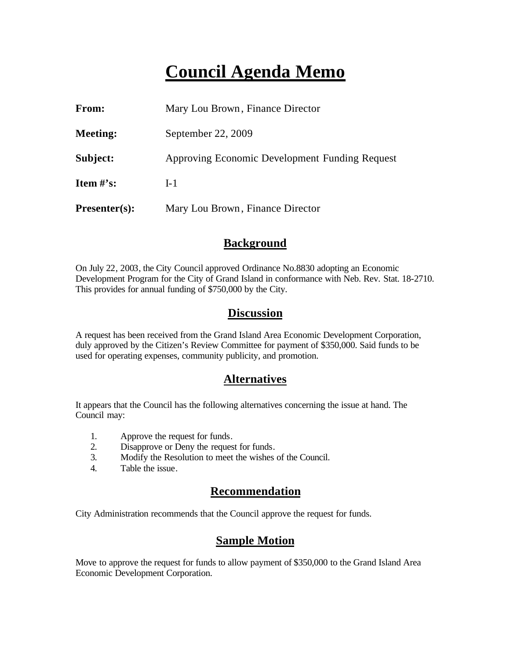### **Council Agenda Memo**

| From:           | Mary Lou Brown, Finance Director               |  |  |
|-----------------|------------------------------------------------|--|--|
| Meeting:        | September 22, 2009                             |  |  |
| Subject:        | Approving Economic Development Funding Request |  |  |
| Item $\#$ 's:   | $I-1$                                          |  |  |
| $Presenter(s):$ | Mary Lou Brown, Finance Director               |  |  |

#### **Background**

On July 22, 2003, the City Council approved Ordinance No.8830 adopting an Economic Development Program for the City of Grand Island in conformance with Neb. Rev. Stat. 18-2710. This provides for annual funding of \$750,000 by the City.

#### **Discussion**

A request has been received from the Grand Island Area Economic Development Corporation, duly approved by the Citizen's Review Committee for payment of \$350,000. Said funds to be used for operating expenses, community publicity, and promotion.

#### **Alternatives**

It appears that the Council has the following alternatives concerning the issue at hand. The Council may:

- 1. Approve the request for funds.
- 2. Disapprove or Deny the request for funds.
- 3. Modify the Resolution to meet the wishes of the Council.
- 4. Table the issue.

#### **Recommendation**

City Administration recommends that the Council approve the request for funds.

#### **Sample Motion**

Move to approve the request for funds to allow payment of \$350,000 to the Grand Island Area Economic Development Corporation.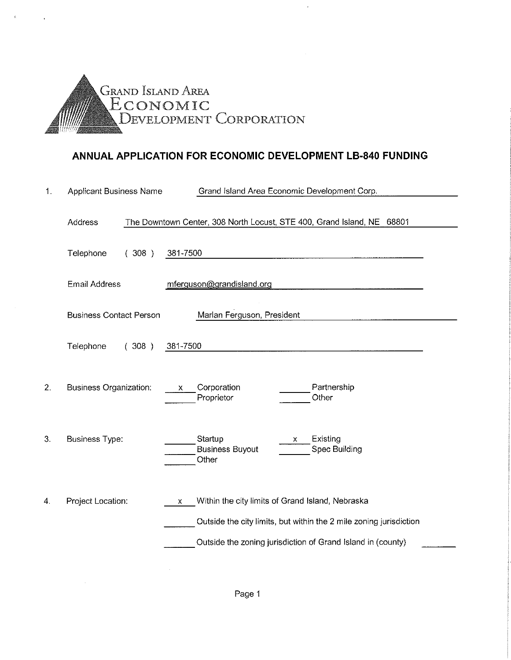

#### ANNUAL APPLICATION FOR ECONOMIC DEVELOPMENT LB-840 FUNDING

| 1. | <b>Applicant Business Name</b> | Grand Island Area Economic Development Corp.                                                                                                                                                          |  |  |  |
|----|--------------------------------|-------------------------------------------------------------------------------------------------------------------------------------------------------------------------------------------------------|--|--|--|
|    | Address                        | The Downtown Center, 308 North Locust, STE 400, Grand Island, NE 68801                                                                                                                                |  |  |  |
|    | Telephone<br>(308)             | 381-7500                                                                                                                                                                                              |  |  |  |
|    | <b>Email Address</b>           | mferguson@grandisland.org                                                                                                                                                                             |  |  |  |
|    | <b>Business Contact Person</b> | Marlan Ferguson, President                                                                                                                                                                            |  |  |  |
|    | Telephone<br>(308)             | 381-7500                                                                                                                                                                                              |  |  |  |
| 2. | Business Organization:         | Partnership<br>Corporation<br>$\mathsf{X}$<br>Other<br>Proprietor                                                                                                                                     |  |  |  |
| 3. | <b>Business Type:</b>          | Startup<br>Existing<br>x.<br><b>Business Buyout</b><br>Spec Building<br>Other                                                                                                                         |  |  |  |
| 4. | Project Location:              | Within the city limits of Grand Island, Nebraska<br>$\mathsf{x}$<br>Outside the city limits, but within the 2 mile zoning jurisdiction<br>Outside the zoning jurisdiction of Grand Island in (county) |  |  |  |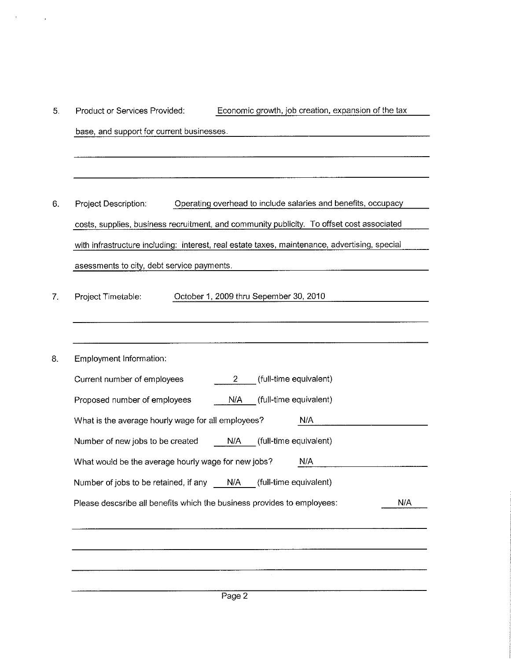| Product or Services Provided:                       | Economic growth, job creation, expansion of the tax                                           |     |
|-----------------------------------------------------|-----------------------------------------------------------------------------------------------|-----|
| base, and support for current businesses.           |                                                                                               |     |
|                                                     |                                                                                               |     |
|                                                     |                                                                                               |     |
| Project Description:                                | Operating overhead to include salaries and benefits, occupacy                                 |     |
|                                                     | costs, supplies, business recruitment, and community publicity. To offset cost associated     |     |
|                                                     | with infrastructure including: interest, real estate taxes, maintenance, advertising, special |     |
| asessments to city, debt service payments.          |                                                                                               |     |
|                                                     |                                                                                               |     |
| Project Timetable:                                  | October 1, 2009 thru Sepember 30, 2010                                                        |     |
|                                                     |                                                                                               |     |
|                                                     |                                                                                               |     |
| Employment Information:                             |                                                                                               |     |
| Current number of employees                         | (full-time equivalent)<br>$\overline{2}$                                                      |     |
| Proposed number of employees                        | (full-time equivalent)<br>N/A                                                                 |     |
| What is the average hourly wage for all employees?  | N/A                                                                                           |     |
| Number of new jobs to be created                    | N/A<br>(full-time equivalent)                                                                 |     |
| What would be the average hourly wage for new jobs? | N/A                                                                                           |     |
| Number of jobs to be retained, if any               | (full-time equivalent)<br>N/A                                                                 |     |
|                                                     | Please descsribe all benefits which the business provides to employees:                       | N/A |
|                                                     |                                                                                               |     |
|                                                     |                                                                                               |     |
|                                                     |                                                                                               |     |
|                                                     |                                                                                               |     |

 $\mathcal{F}^{\text{max}}_{\text{max}}$  and  $\mathcal{F}^{\text{max}}_{\text{max}}$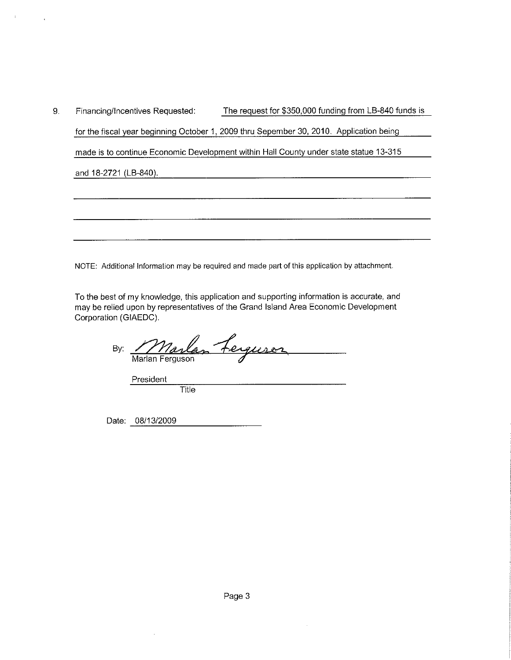9. The request for \$350,000 funding from LB-840 funds is Financing/Incentives Requested: for the fiscal year beginning October 1, 2009 thru Sepember 30, 2010. Application being made is to continue Economic Development within Hall County under state statue 13-315 and 18-2721 (LB-840).

NOTE: Additional Information may be required and made part of this application by attachment.

To the best of my knowledge, this application and supporting information is accurate, and may be relied upon by representatives of the Grand Island Area Economic Development Corporation (GIAEDC).

<u>Marlan Ferguson</u> By:

President

Title

Date: 08/13/2009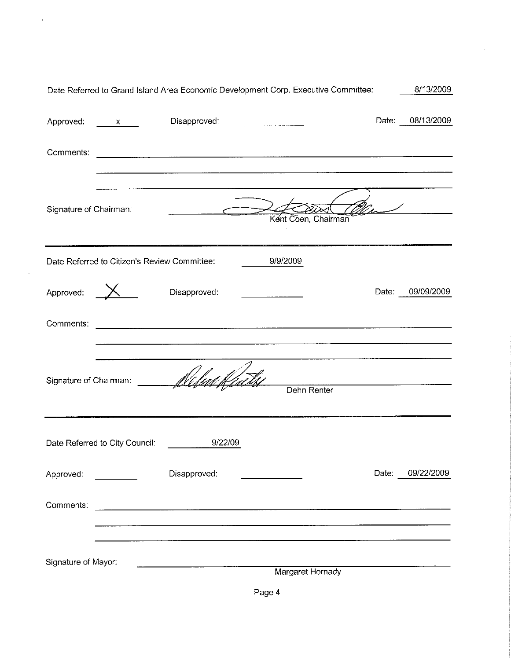| Date Referred to Grand Island Area Economic Development Corp. Executive Committee: |                                              |                                                                                                                                                                                                                                      |                                                                                                                                                                                                                                  |                                                     | 8/13/2009        |
|------------------------------------------------------------------------------------|----------------------------------------------|--------------------------------------------------------------------------------------------------------------------------------------------------------------------------------------------------------------------------------------|----------------------------------------------------------------------------------------------------------------------------------------------------------------------------------------------------------------------------------|-----------------------------------------------------|------------------|
| Approved: x                                                                        |                                              | Disapproved:                                                                                                                                                                                                                         |                                                                                                                                                                                                                                  |                                                     | Date: 08/13/2009 |
| Comments:                                                                          |                                              |                                                                                                                                                                                                                                      | <u> 1989 - Johann Stoff, deutscher Stoff, der Stoff, deutscher Stoff, der Stoff, der Stoff, der Stoff, der Stoff, </u>                                                                                                           |                                                     |                  |
| Signature of Chairman:                                                             |                                              | <u>and the company of the company of the company of the company of the company of the company of the company of the company of the company of the company of the company of the company of the company of the company of the com</u> | Kent Coen, Chairman                                                                                                                                                                                                              | $\frac{2}{\sqrt{2}}$                                |                  |
|                                                                                    | Date Referred to Citizen's Review Committee: |                                                                                                                                                                                                                                      | 9/9/2009                                                                                                                                                                                                                         |                                                     |                  |
| Approved: $X$                                                                      |                                              | Disapproved:                                                                                                                                                                                                                         | <u> 1980 - Jan Amerikaan Staatsman (</u>                                                                                                                                                                                         |                                                     | Date: 09/09/2009 |
| Comments:                                                                          |                                              |                                                                                                                                                                                                                                      | t a construction de la construction de la construction de la construction de la construction de la constructio<br>L'époque le construction de la construction de la construction de la construction de la construction de la con |                                                     |                  |
| Signature of Chairman:                                                             |                                              |                                                                                                                                                                                                                                      | Dehn Renter                                                                                                                                                                                                                      | the contract of the contract of the contract of the |                  |
|                                                                                    | Date Referred to City Council:               | 9/22/09                                                                                                                                                                                                                              |                                                                                                                                                                                                                                  |                                                     |                  |
| Approved:                                                                          |                                              | Disapproved:                                                                                                                                                                                                                         |                                                                                                                                                                                                                                  | Date:                                               | 09/22/2009       |
| Comments:                                                                          |                                              |                                                                                                                                                                                                                                      |                                                                                                                                                                                                                                  |                                                     |                  |
| Signature of Mayor:                                                                |                                              |                                                                                                                                                                                                                                      | Margaret Hornady                                                                                                                                                                                                                 |                                                     |                  |

 $\cdot$ 

 $\alpha$ 

 $\mathcal{A}^{\mathcal{A}}$ 

Page 4